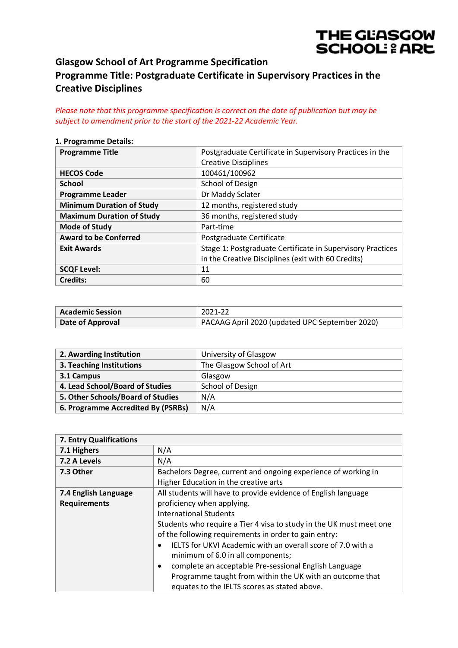# THE GLASGOW **SCHOOL: & ARE**

# **Glasgow School of Art Programme Specification Programme Title: Postgraduate Certificate in Supervisory Practices in the Creative Disciplines**

*Please note that this programme specification is correct on the date of publication but may be subject to amendment prior to the start of the 2021-22 Academic Year.*

#### **1. Programme Details:**

| <b>Programme Title</b>           | Postgraduate Certificate in Supervisory Practices in the   |
|----------------------------------|------------------------------------------------------------|
|                                  | <b>Creative Disciplines</b>                                |
| <b>HECOS Code</b>                | 100461/100962                                              |
| <b>School</b>                    | School of Design                                           |
| <b>Programme Leader</b>          | Dr Maddy Sclater                                           |
| <b>Minimum Duration of Study</b> | 12 months, registered study                                |
| <b>Maximum Duration of Study</b> | 36 months, registered study                                |
| <b>Mode of Study</b>             | Part-time                                                  |
| <b>Award to be Conferred</b>     | Postgraduate Certificate                                   |
| <b>Exit Awards</b>               | Stage 1: Postgraduate Certificate in Supervisory Practices |
|                                  | in the Creative Disciplines (exit with 60 Credits)         |
| <b>SCQF Level:</b>               | 11                                                         |
| <b>Credits:</b>                  | 60                                                         |

| Academic Session        | 2021-22                                        |
|-------------------------|------------------------------------------------|
| <b>Date of Approval</b> | PACAAG April 2020 (updated UPC September 2020) |

| 2. Awarding Institution            | University of Glasgow     |
|------------------------------------|---------------------------|
| 3. Teaching Institutions           | The Glasgow School of Art |
| 3.1 Campus                         | Glasgow                   |
| 4. Lead School/Board of Studies    | School of Design          |
| 5. Other Schools/Board of Studies  | N/A                       |
| 6. Programme Accredited By (PSRBs) | N/A                       |

| 7. Entry Qualifications |                                                                          |
|-------------------------|--------------------------------------------------------------------------|
| 7.1 Highers             | N/A                                                                      |
| 7.2 A Levels            | N/A                                                                      |
| 7.3 Other               | Bachelors Degree, current and ongoing experience of working in           |
|                         | Higher Education in the creative arts                                    |
| 7.4 English Language    | All students will have to provide evidence of English language           |
| <b>Requirements</b>     | proficiency when applying.                                               |
|                         | International Students                                                   |
|                         | Students who require a Tier 4 visa to study in the UK must meet one      |
|                         | of the following requirements in order to gain entry:                    |
|                         | IELTS for UKVI Academic with an overall score of 7.0 with a<br>$\bullet$ |
|                         | minimum of 6.0 in all components;                                        |
|                         | complete an acceptable Pre-sessional English Language<br>$\bullet$       |
|                         | Programme taught from within the UK with an outcome that                 |
|                         | equates to the IELTS scores as stated above.                             |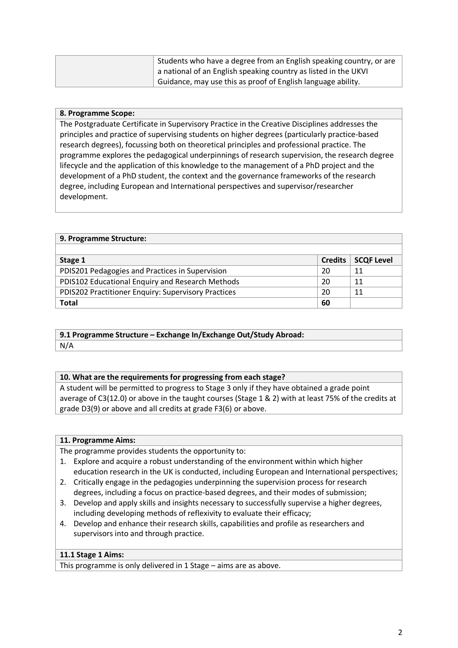| Students who have a degree from an English speaking country, or are |
|---------------------------------------------------------------------|
| a national of an English speaking country as listed in the UKVI     |
| Guidance, may use this as proof of English language ability.        |

# **8. Programme Scope:**

The Postgraduate Certificate in Supervisory Practice in the Creative Disciplines addresses the principles and practice of supervising students on higher degrees (particularly practice-based research degrees), focussing both on theoretical principles and professional practice. The programme explores the pedagogical underpinnings of research supervision, the research degree lifecycle and the application of this knowledge to the management of a PhD project and the development of a PhD student, the context and the governance frameworks of the research degree, including European and International perspectives and supervisor/researcher development.

| 9. Programme Structure:                             |                |                   |  |
|-----------------------------------------------------|----------------|-------------------|--|
|                                                     |                |                   |  |
| Stage 1                                             | <b>Credits</b> | <b>SCQF Level</b> |  |
| PDIS201 Pedagogies and Practices in Supervision     | 20             | 11                |  |
| PDIS102 Educational Enquiry and Research Methods    | 20             | 11                |  |
| PDIS202 Practitioner Enquiry: Supervisory Practices | 20             | 11                |  |
| <b>Total</b>                                        | 60             |                   |  |

#### **9.1 Programme Structure – Exchange In/Exchange Out/Study Abroad:** N/A

#### **10. What are the requirements for progressing from each stage?**

A student will be permitted to progress to Stage 3 only if they have obtained a grade point average of C3(12.0) or above in the taught courses (Stage 1 & 2) with at least 75% of the credits at grade D3(9) or above and all credits at grade F3(6) or above.

#### **11. Programme Aims:**

The programme provides students the opportunity to:

- 1. Explore and acquire a robust understanding of the environment within which higher education research in the UK is conducted, including European and International perspectives;
- 2. Critically engage in the pedagogies underpinning the supervision process for research degrees, including a focus on practice-based degrees, and their modes of submission;
- 3. Develop and apply skills and insights necessary to successfully supervise a higher degrees, including developing methods of reflexivity to evaluate their efficacy;
- 4. Develop and enhance their research skills, capabilities and profile as researchers and supervisors into and through practice.

#### **11.1 Stage 1 Aims:**

This programme is only delivered in 1 Stage – aims are as above.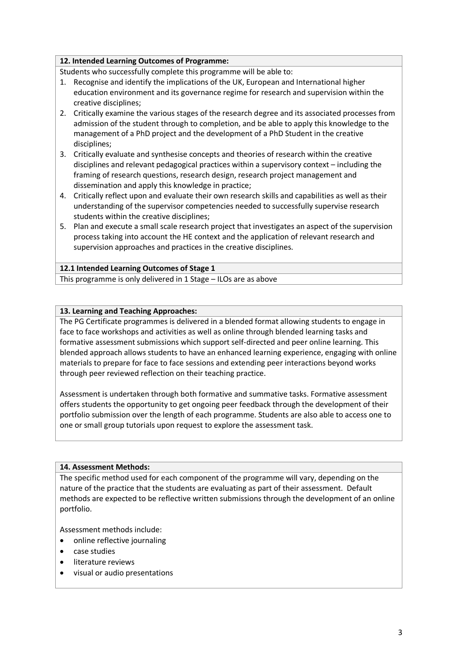# **12. Intended Learning Outcomes of Programme:**

Students who successfully complete this programme will be able to:

- 1. Recognise and identify the implications of the UK, European and International higher education environment and its governance regime for research and supervision within the creative disciplines;
- 2. Critically examine the various stages of the research degree and its associated processes from admission of the student through to completion, and be able to apply this knowledge to the management of a PhD project and the development of a PhD Student in the creative disciplines;
- 3. Critically evaluate and synthesise concepts and theories of research within the creative disciplines and relevant pedagogical practices within a supervisory context – including the framing of research questions, research design, research project management and dissemination and apply this knowledge in practice;
- 4. Critically reflect upon and evaluate their own research skills and capabilities as well as their understanding of the supervisor competencies needed to successfully supervise research students within the creative disciplines;
- 5. Plan and execute a small scale research project that investigates an aspect of the supervision process taking into account the HE context and the application of relevant research and supervision approaches and practices in the creative disciplines.

# **12.1 Intended Learning Outcomes of Stage 1**

This programme is only delivered in 1 Stage – ILOs are as above

### **13. Learning and Teaching Approaches:**

The PG Certificate programmes is delivered in a blended format allowing students to engage in face to face workshops and activities as well as online through blended learning tasks and formative assessment submissions which support self-directed and peer online learning. This blended approach allows students to have an enhanced learning experience, engaging with online materials to prepare for face to face sessions and extending peer interactions beyond works through peer reviewed reflection on their teaching practice.

Assessment is undertaken through both formative and summative tasks. Formative assessment offers students the opportunity to get ongoing peer feedback through the development of their portfolio submission over the length of each programme. Students are also able to access one to one or small group tutorials upon request to explore the assessment task.

# **14. Assessment Methods:**

The specific method used for each component of the programme will vary, depending on the nature of the practice that the students are evaluating as part of their assessment. Default methods are expected to be reflective written submissions through the development of an online portfolio.

Assessment methods include:

- online reflective journaling
- case studies
- literature reviews
- visual or audio presentations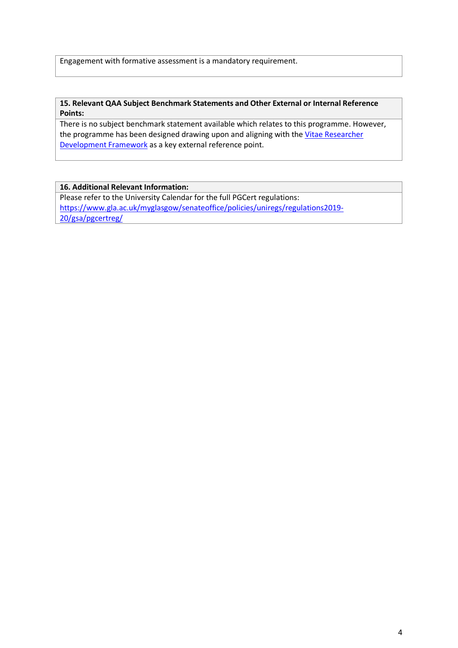Engagement with formative assessment is a mandatory requirement.

#### **15. Relevant QAA Subject Benchmark Statements and Other External or Internal Reference Points:**

There is no subject benchmark statement available which relates to this programme. However, the programme has been designed drawing upon and aligning with the Vitae Researcher [Development Framework](https://www.vitae.ac.uk/researchers-professional-development/about-the-vitae-researcher-development-framework) as a key external reference point.

### **16. Additional Relevant Information:**

Please refer to the University Calendar for the full PGCert regulations: [https://www.gla.ac.uk/myglasgow/senateoffice/policies/uniregs/regulations2019-](https://www.gla.ac.uk/myglasgow/senateoffice/policies/uniregs/regulations2019-20/gsa/pgcertreg/) [20/gsa/pgcertreg/](https://www.gla.ac.uk/myglasgow/senateoffice/policies/uniregs/regulations2019-20/gsa/pgcertreg/)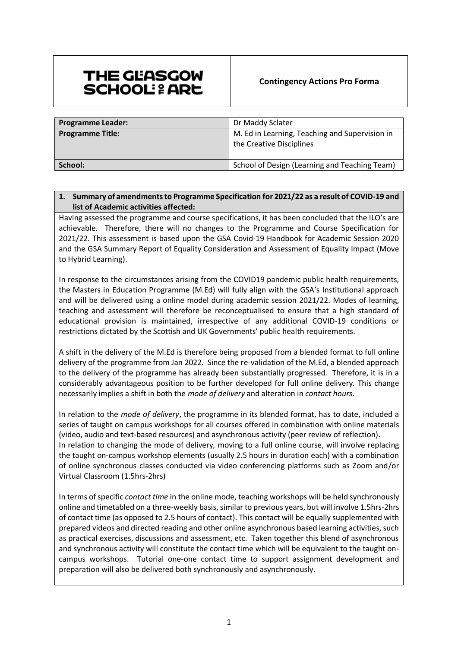# THE GLASGOW **SCHOOL: & ARL**

| <b>Programme Leader:</b> | Dr Maddy Sclater                                                           |
|--------------------------|----------------------------------------------------------------------------|
| <b>Programme Title:</b>  | M. Ed in Learning, Teaching and Supervision in<br>the Creative Disciplines |
| School:                  | School of Design (Learning and Teaching Team)                              |

# **1. Summary of amendments to Programme Specification for 2021/22 as a result of COVID-19 and list of Academic activities affected:**

Having assessed the programme and course specifications, it has been concluded that the ILO's are achievable. Therefore, there will no changes to the Programme and Course Specification for 2021/22. This assessment is based upon the GSA Covid-19 Handbook for Academic Session 2020 and the GSA Summary Report of Equality Consideration and Assessment of Equality Impact (Move to Hybrid Learning).

In response to the circumstances arising from the COVID19 pandemic public health requirements, the Masters in Education Programme (M.Ed) will fully align with the GSA's Institutional approach and will be delivered using a online model during academic session 2021/22. Modes of learning, teaching and assessment will therefore be reconceptualised to ensure that a high standard of educational provision is maintained, irrespective of any additional COVID-19 conditions or restrictions dictated by the Scottish and UK Governments' public health requirements.

A shift in the delivery of the M.Ed is therefore being proposed from a blended format to full online delivery of the programme from Jan 2022. Since the re-validation of the M.Ed, a blended approach to the delivery of the programme has already been substantially progressed. Therefore, it is in a considerably advantageous position to be further developed for full online delivery. This change necessarily implies a shift in both the *mode of delivery* and alteration in *contact hours.*

In relation to the *mode of delivery*, the programme in its blended format, has to date, included a series of taught on campus workshops for all courses offered in combination with online materials (video, audio and text-based resources) and asynchronous activity (peer review of reflection). In relation to changing the mode of delivery*,* moving to a full online course, will involve replacing the taught on-campus workshop elements (usually 2.5 hours in duration each) with a combination of online synchronous classes conducted via video conferencing platforms such as Zoom and/or Virtual Classroom (1.5hrs-2hrs)

In terms of specific *contact time* in the online mode, teaching workshops will be held synchronously online and timetabled on a three-weekly basis, similar to previous years, but will involve 1.5hrs-2hrs of contact time (as opposed to 2.5 hours of contact). This contact will be equally supplemented with prepared videos and directed reading and other online asynchronous based learning activities, such as practical exercises, discussions and assessment, etc. Taken together this blend of asynchronous and synchronous activity will constitute the contact time which will be equivalent to the taught oncampus workshops. Tutorial one-one contact time to support assignment development and preparation will also be delivered both synchronously and asynchronously.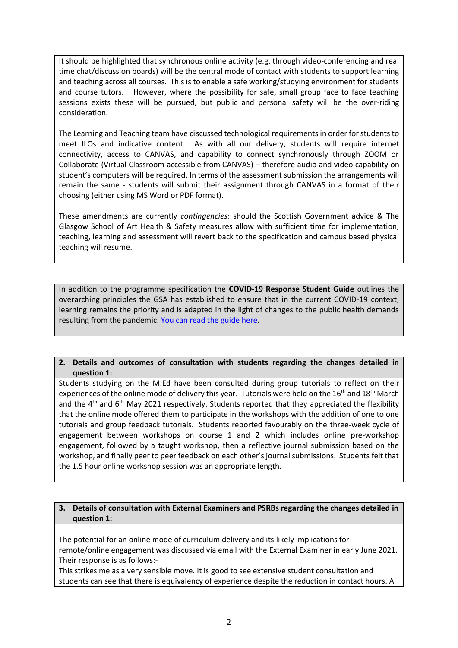It should be highlighted that synchronous online activity (e.g. through video-conferencing and real time chat/discussion boards) will be the central mode of contact with students to support learning and teaching across all courses. This is to enable a safe working/studying environment for students and course tutors. However, where the possibility for safe, small group face to face teaching sessions exists these will be pursued, but public and personal safety will be the over-riding consideration.

The Learning and Teaching team have discussed technological requirements in order for students to meet ILOs and indicative content. As with all our delivery, students will require internet connectivity, access to CANVAS, and capability to connect synchronously through ZOOM or Collaborate (Virtual Classroom accessible from CANVAS) – therefore audio and video capability on student's computers will be required. In terms of the assessment submission the arrangements will remain the same - students will submit their assignment through CANVAS in a format of their choosing (either using MS Word or PDF format).

These amendments are currently *contingencies*: should the Scottish Government advice & The Glasgow School of Art Health & Safety measures allow with sufficient time for implementation, teaching, learning and assessment will revert back to the specification and campus based physical teaching will resume.

In addition to the programme specification the **COVID-19 Response Student Guide** outlines the overarching principles the GSA has established to ensure that in the current COVID-19 context, learning remains the priority and is adapted in the light of changes to the public health demands resulting from the pandemic. [You can read the guide here.](http://www.gsa.ac.uk/media/1810256/gsa-covid-response-student-guide.pdf)

**2. Details and outcomes of consultation with students regarding the changes detailed in question 1:**

Students studying on the M.Ed have been consulted during group tutorials to reflect on their experiences of the online mode of delivery this year. Tutorials were held on the  $16<sup>th</sup>$  and  $18<sup>th</sup>$  March and the  $4<sup>th</sup>$  and  $6<sup>th</sup>$  May 2021 respectively. Students reported that they appreciated the flexibility that the online mode offered them to participate in the workshops with the addition of one to one tutorials and group feedback tutorials. Students reported favourably on the three-week cycle of engagement between workshops on course 1 and 2 which includes online pre-workshop engagement, followed by a taught workshop, then a reflective journal submission based on the workshop, and finally peer to peer feedback on each other's journal submissions. Students felt that the 1.5 hour online workshop session was an appropriate length.

# **3. Details of consultation with External Examiners and PSRBs regarding the changes detailed in question 1:**

The potential for an online mode of curriculum delivery and its likely implications for remote/online engagement was discussed via email with the External Examiner in early June 2021. Their response is as follows:-

This strikes me as a very sensible move. It is good to see extensive student consultation and students can see that there is equivalency of experience despite the reduction in contact hours. A